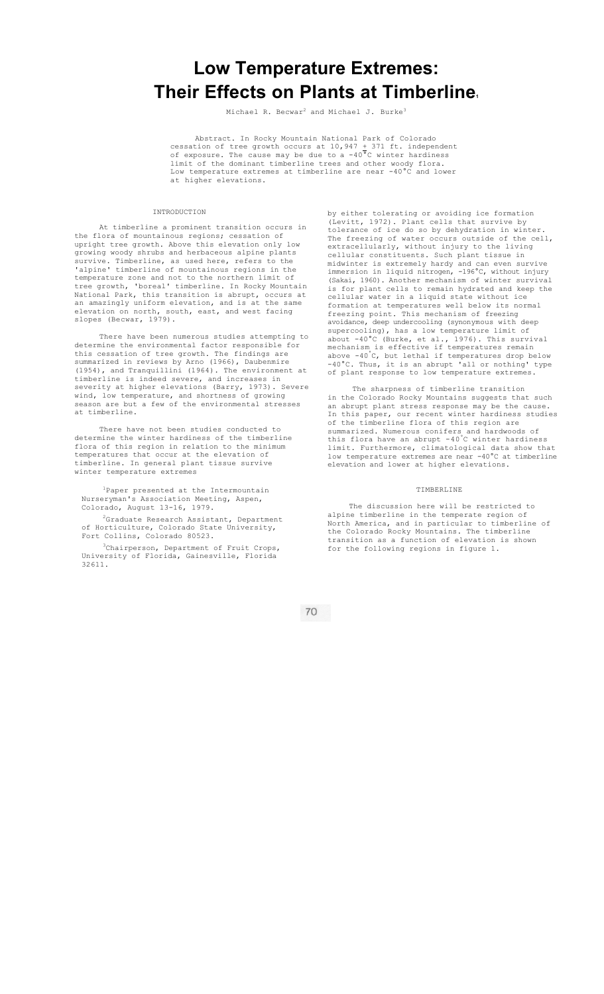# **Low Temperature Extremes: Their Effects on Plants at Timberline1**

Michael R. Becwar<sup>2</sup> and Michael J. Burke<sup>3</sup>

Abstract. In Rocky Mountain National Park of Colorado<br>cessation of tree growth occurs at  $10,947 \pm 371$  ft. independent cessation of tree growth occurs at  $10,947 + 371$  ft. independent of exposure. The cause may be due to a -40°C winter hardiness limit of the dominant timberline trees and other woody flora. Low temperature extremes at timberline are near -40°C and lower at higher elevations.

#### INTRODUCTION

At timberline a prominent transition occurs in the flora of mountainous regions; cessation of upright tree growth. Above this elevation only low growing woody shrubs and herbaceous alpine plants survive. Timberline, as used here, refers to the 'alpine' timberline of mountainous regions in the temperature zone and not to the northern limit of<br>tree growth, 'boreal' timberline. In Rocky Mount. tree growth, 'boreal' timberline. In Rocky Mountain National Park, this transition is abrupt, occurs at an amazingly uniform elevation, and is at the same elevation on north, south, east, and west facing slopes (Becwar, 1979).

There have been numerous studies attempting to determine the environmental factor responsible for this cessation of tree growth. The findings are summarized in reviews by Arno (1966), Daubenmire (1954), and Tranquillini (1964). The environment at timberline is indeed severe, and increases in severity at higher elevations (Barry, 1973). Severe wind, low temperature, and shortness of growing season are but a few of the environmental stresses at timberline.

There have not been studies conducted to determine the winter hardiness of the timberline flora of this region in relation to the minimum temperatures that occur at the elevation of timberline. In general plant tissue survive winter temperature extremes

1Paper presented at the Intermountain Nurseryman's Association Meeting, Aspen, Colorado, August 13-16, 1979.

2Graduate Research Assistant, Department of Horticulture, Colorado State University, Fort Collins, Colorado 80523.

<sup>3</sup>Chairperson, Department of Fruit Crops,<br>University of Florida, Gainesville, Florida of Florida, Gainesville, Florida 32611.

by either tolerating or avoiding ice formation (Levitt, 1972). Plant cells that survive by tolerance of ice do so by dehydration in winter. The freezing of water occurs outside of the cell, extracellularly, without injury to the living cellular constituents. Such plant tissue in midwinter is extremely hardy and can even survive immersion in liquid nitrogen, -196°C, without injury (Sakai, 1960). Another mechanism of winter survival is for plant cells to remain hydrated and keep the cellular water in a liquid state without ice formation at temperatures well below its normal freezing point. This mechanism of freezing avoidance, deep undercooling (synonymous with deep supercooling), has a low temperature limit of about -40°C (Burke, et al., 1976). This survival mechanism is effective if temperatures remain above -40°C, but lethal if temperatures drop below -40°C. Thus, it is an abrupt 'all or nothing' type of plant response to low temperature extremes.

The sharpness of timberline transition in the Colorado Rocky Mountains suggests that such an abrupt plant stress response may be the cause. In this paper, our recent winter hardiness studies of the timberline flora of this region are summarized. Numerous conifers and hardwoods of this flora have an abrupt -40°C winter hardiness limit. Furthermore, climatological data show that low temperature extremes are near -40°C at timberline elevation and lower at higher elevations.

### TIMBERLINE

The discussion here will be restricted to alpine timberline in the temperate region of North America, and in particular to timberline of the Colorado Rocky Mountains. The timberline transition as a function of elevation is shown for the following regions in figure 1.

70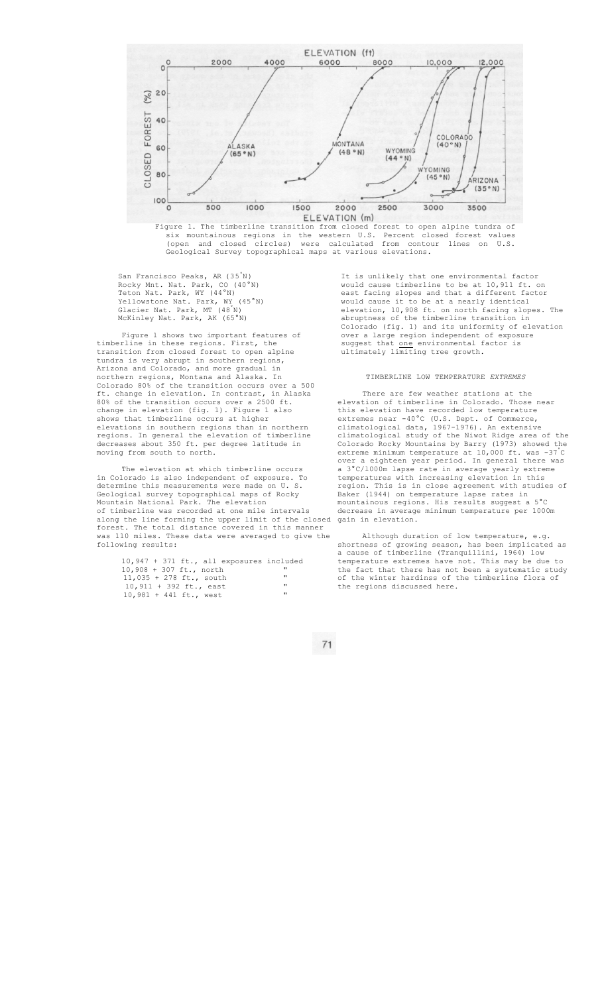

six mountainous regions in the western U.S. Percent closed forest values (open and closed circles) were calculated from contour lines on U.S. Geological Survey topographical maps at various elevations.

San Francisco Peaks, AR (35<sup>°</sup>N)<br>Rocky Mnt. Nat. Park, CO (40<sup>°</sup>N) Rocky Mnt. Nat. Park, CO Teton Nat. Park, WY (44°N) Yellowstone Nat. Park, WY (45°N) Glacier Nat. Park, MT (48° N) McKinley Nat. Park, AK (65°N)

Figure 1 shows two important features of timberline in these regions. First, the transition from closed forest to open alpine tundra is very abrupt in southern regions, Arizona and Colorado, and more gradual in northern regions, Montana and Alaska. In Colorado 80% of the transition occurs over a 500 ft. change in elevation. In contrast, in Alaska 80% of the transition occurs over a 2500 ft. change in elevation (fig. 1). Figure 1 also shows that timberline occurs at higher elevations in southern regions than in northern regions. In general the elevation of timberline decreases about 350 ft. per degree latitude in moving from south to north.

The elevation at which timberline occurs in Colorado is also independent of exposure. To determine this measurements were made on U. S. Geological survey topographical maps of Rocky Mountain National Park. The elevation of timberline was recorded at one mile intervals along the line forming the upper limit of the closed forest. The total distance covered in this manner was 110 miles. These data were averaged to give the following results:

|                           |  |  | 10,947 + 371 ft., all exposures included |                   |
|---------------------------|--|--|------------------------------------------|-------------------|
| 10,908 + 307 ft., north   |  |  |                                          | "                 |
| $11,035 + 278$ ft., south |  |  |                                          | $^{\prime\prime}$ |
| $10,911 + 392$ ft., east  |  |  |                                          | $^{\prime\prime}$ |
| $10,981 + 441$ ft., west  |  |  |                                          | $^{\prime\prime}$ |

It is unlikely that one environmental factor would cause timberline to be at 10,911 ft. on east facing slopes and that a different factor would cause it to be at a nearly identical elevation, 10,908 ft. on north facing slopes. The abruptness of the timberline transition in Colorado (fig. 1) and its uniformity of elevation over a large region independent of exposure suggest that one environmental factor is ultimately limiting tree growth.

#### TIMBERLINE LOW TEMPERATURE *EXTREMES*

There are few weather stations at the<br>elevation of timberline in Colorado. Those near elevation of timberline in Colorado. Those near this elevation have recorded low temperature extremes near -40°C (U.S. Dept. of Commerce, climatological data, 1967-1976). An extensive climatological study of the Niwot Ridge area of the Colorado Rocky Mountains by Barry (1973) showed the extreme minimum temperature at 10,000 ft. was -37°C over a eighteen year period. In general there was a 3°C/l000m lapse rate in average yearly extreme temperatures with increasing elevation in this region. This is in close agreement with studies of Baker (1944) on temperature lapse rates in mountainous regions. His results suggest a 5°C decrease in average minimum temperature per 1000m gain in elevation.

Although duration of low temperature, shortness of growing season, has been implicated as a cause of timberline (Tranquillini, 1964) low temperature extremes have not. This may be due to the fact that there has not been a systematic study of the winter hardinss of the timberline flora of the regions discussed here.

 $71$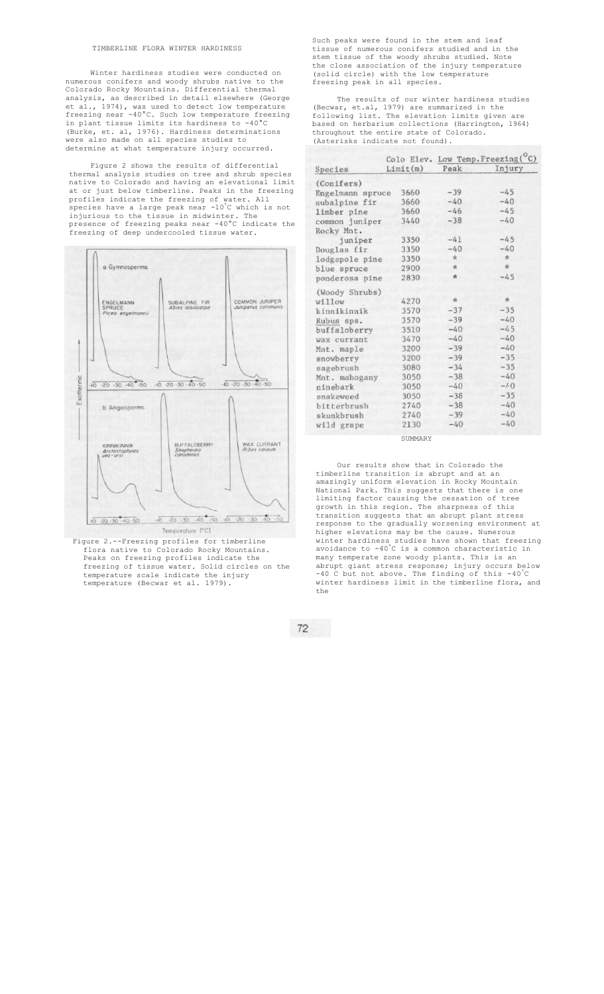#### TIMBERLINE FLORA WINTER HARDINESS

Winter hardiness studies were conducted on numerous conifers and woody shrubs native to the Colorado Rocky Mountains. Differential thermal analysis, as described in detail elsewhere (George et al., 1974), was used to detect low temperature freezing near -40°C. Such low temperature freezing in plant tissue limits its hardiness to -40°C (Burke, et. al, 1976). Hardiness determinations were also made on all species studies to determine at what temperature injury occurred.

Figure 2 shows the results of differential thermal analysis studies on tree and shrub species native to Colorado and having an elevational limit at or just below timberline. Peaks in the freezing profiles indicate the freezing of water. All species have a large peak near -10°C which is not injurious to the tissue in midwinter. The presence of freezing peaks near -40°C indicate the freezing of deep undercooled tissue water.



flora native to Colorado Rocky Mountains. Peaks on freezing profiles indicate the freezing of tissue water. Solid circles on the temperature scale indicate the injury temperature (Becwar et al. 1979).

Such peaks were found in the stem and leaf tissue of numerous conifers studied and in the stem tissue of the woody shrubs studied. Note the close association of the injury temperature (solid circle) with the low temperature freezing peak in all species.

The results of our winter hardiness studies (Becwar, et.al, 1979) are summarized in the following list. The elevation limits given are based on herbarium collections (Harrington, 1964) throughout the entire state of Colorado. (Asterisks indicate not found).

|                  |          | Peak    | Colo Elev. Low Temp. Freezing(°C)<br>Injury |
|------------------|----------|---------|---------------------------------------------|
| Species          | Limit(m) |         |                                             |
| (Conifers)       |          |         |                                             |
| Engelmann spruce | 3660     | $-39$   | $-45$                                       |
| subalpine fir    | 3660     | $-40$   | $-40$                                       |
| limber pine      | 3660     | $-46$   | $-45$                                       |
| common juniper   | 3440     | $-38$   | $-40$                                       |
| Rocky Mnt.       |          |         |                                             |
| juniper          | 3350     | $-41$   | $-45$                                       |
| Douglas fir      | 3350     | $-40$   | $-40$                                       |
| lodgepole pine   | 3350     | $\star$ | $\star$                                     |
| blue spruce      | 2900     | $\ast$  | $\frac{1}{2C}$                              |
| ponderosa pine   | 2830     | $\ast$  | $-45$                                       |
| (Woody Shrubs)   |          |         |                                             |
| willow           | 4270     | $\star$ | $\star$                                     |
| kinnikinnik      | 3570     | $-37$   | $-35$                                       |
| Rubus sps.       | 3570     | $-39$   | $-40$                                       |
| buffaloberry     | 3510     | $-40$   | $-45$                                       |
| wax currant      | 3470     | $-40$   | $-40$                                       |
| Mnt. maple       | 3200     | $-39$   | $-40$                                       |
| snowberry        | 3200     | $-39$   | $-35$                                       |
| sagebrush        | 3080     | $-34$   | $-35$                                       |
| Mnt. mahogany    | 3050     | $-38$   | $-40$                                       |
| ninebark         | 3050     | $-40$   | $-4.0$                                      |
| snakeweed        | 3050     | $-38$   | $-35$                                       |
| bitterbrush      | 2740     | $-38$   | $-40$                                       |
| skunkbrush       | 2740     | $-39$   | $-40$                                       |
| wild grape       | 2130     | $-40$   | $-40$                                       |
|                  | SUMMARY  |         |                                             |

Our results show that in Colorado the timberline transition is abrupt and at an amazingly uniform elevation in Rocky Mountain National Park. This suggests that there is one limiting factor causing the cessation of tree growth in this region. The sharpness of this transition suggests that an abrupt plant stress response to the gradually worsening environment at higher elevations may be the cause. Numerous winter hardiness studies have shown that freezing avoidance to -40°C is a common characteristic in many temperate zone woody plants. This is an abrupt giant stress response; injury occurs below -40 C but not above. The finding of this -40°C winter hardiness limit in the timberline flora, and the

 $72$